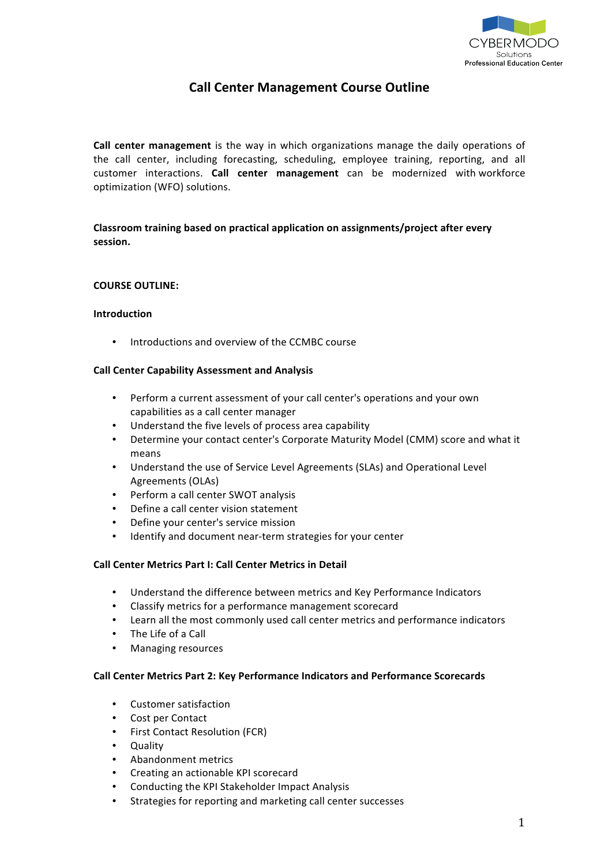

# **Call Center Management Course Outline**

**Call center management** is the way in which organizations manage the daily operations of the call center, including forecasting, scheduling, employee training, reporting, and all customer interactions. Call center management can be modernized with workforce optimization (WFO) solutions.

## **Classroom training based on practical application on assignments/project after every session.\$**

## **COURSE OUTLINE:**

## **Introduction**

Introductions and overview of the CCMBC course

## **Call Center Capability Assessment and Analysis**

- Perform a current assessment of your call center's operations and your own capabilities as a call center manager
- Understand the five levels of process area capability
- Determine your contact center's Corporate Maturity Model (CMM) score and what it means
- Understand the use of Service Level Agreements (SLAs) and Operational Level Agreements (OLAs)
- Perform a call center SWOT analysis
- Define a call center vision statement
- Define your center's service mission
- Identify and document near-term strategies for your center

## **Call Center Metrics Part I: Call Center Metrics in Detail**

- Understand the difference between metrics and Key Performance Indicators
- Classify metrics for a performance management scorecard
- Learn all the most commonly used call center metrics and performance indicators
- The Life of a Call
- Managing resources

#### **Call Center Metrics Part 2: Key Performance Indicators and Performance Scorecards**

- Customer satisfaction
- Cost per Contact
- First Contact Resolution (FCR)
- Quality
- Abandonment metrics
- Creating an actionable KPI scorecard
- Conducting the KPI Stakeholder Impact Analysis
- Strategies for reporting and marketing call center successes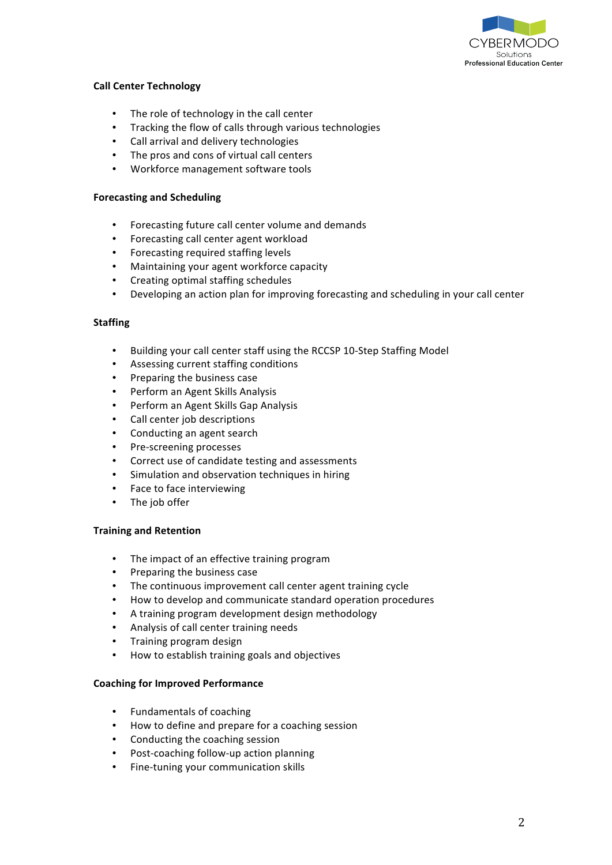

## **Call Center Technology**

- The role of technology in the call center
- Tracking the flow of calls through various technologies
- Call arrival and delivery technologies
- The pros and cons of virtual call centers
- Workforce management software tools

## **Forecasting and Scheduling**

- Forecasting future call center volume and demands
- Forecasting call center agent workload
- Forecasting required staffing levels
- Maintaining your agent workforce capacity
- Creating optimal staffing schedules
- Developing an action plan for improving forecasting and scheduling in your call center

## **Staffing**

- Building your call center staff using the RCCSP 10-Step Staffing Model
- Assessing current staffing conditions
- Preparing the business case
- Perform an Agent Skills Analysis
- Perform an Agent Skills Gap Analysis
- Call center job descriptions
- Conducting an agent search
- Pre-screening processes
- Correct use of candidate testing and assessments
- Simulation and observation techniques in hiring
- Face to face interviewing
- The job offer

## **Training and Retention**

- The impact of an effective training program
- Preparing the business case
- The continuous improvement call center agent training cycle
- How to develop and communicate standard operation procedures
- A training program development design methodology
- Analysis of call center training needs
- Training program design
- How to establish training goals and objectives

## **Coaching for Improved Performance**

- Fundamentals of coaching
- How to define and prepare for a coaching session
- Conducting the coaching session
- Post-coaching follow-up action planning
- Fine-tuning your communication skills